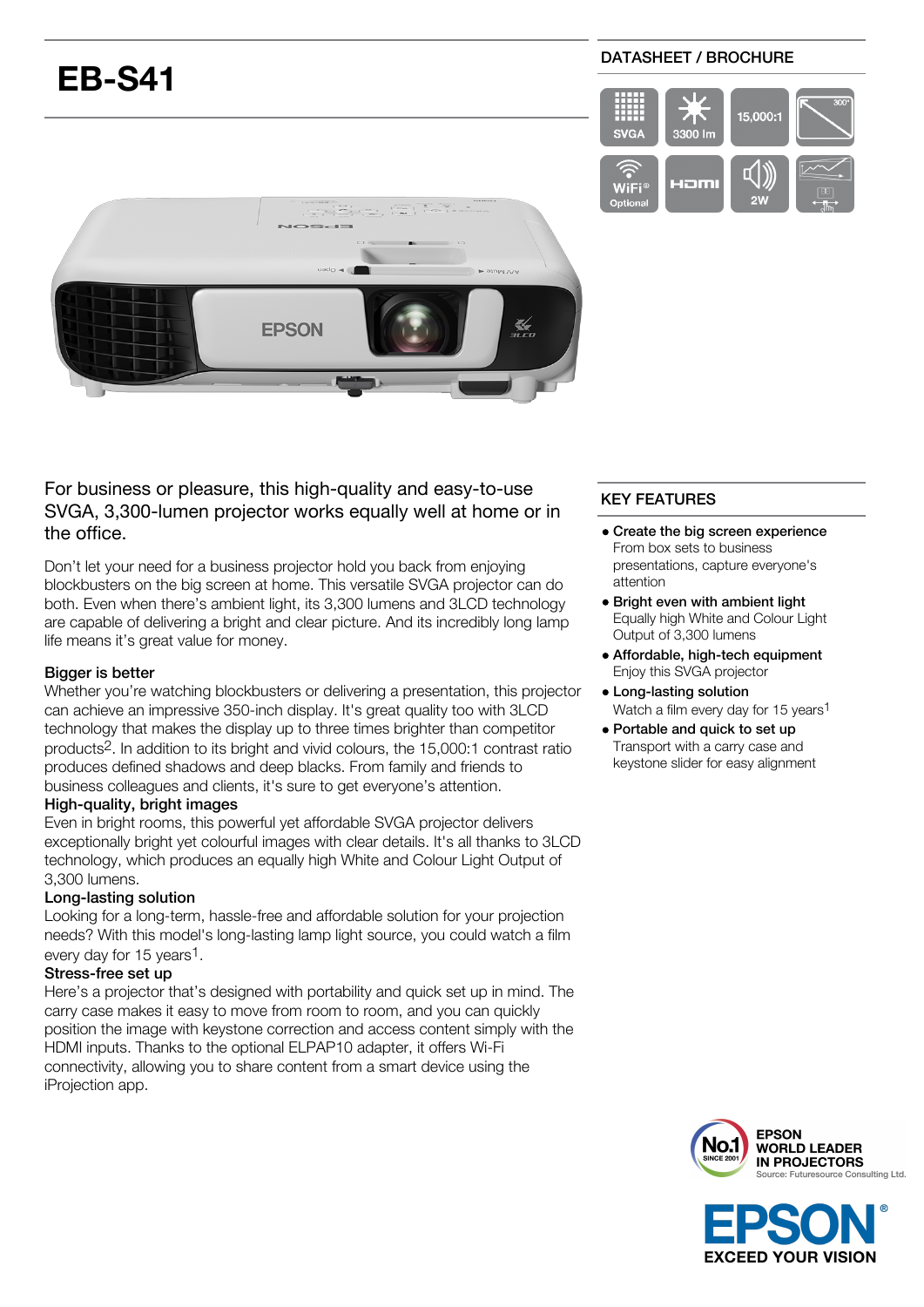# **EB-S41**

## DATASHEET / BROCHURE





For business or pleasure, this high-quality and easy-to-use SVGA, 3,300-lumen projector works equally well at home or in the office.

Don't let your need for a business projector hold you back from enjoying blockbusters on the big screen at home. This versatile SVGA projector can do both. Even when there's ambient light, its 3,300 lumens and 3LCD technology are capable of delivering a bright and clear picture. And its incredibly long lamp life means it's great value for money.

## Bigger is better

Whether you're watching blockbusters or delivering a presentation, this projector can achieve an impressive 350-inch display. It's great quality too with 3LCD technology that makes the display up to three times brighter than competitor products2. In addition to its bright and vivid colours, the 15,000:1 contrast ratio produces defined shadows and deep blacks. From family and friends to business colleagues and clients, it's sure to get everyone's attention.

## High-quality, bright images

Even in bright rooms, this powerful yet affordable SVGA projector delivers exceptionally bright yet colourful images with clear details. It's all thanks to 3LCD technology, which produces an equally high White and Colour Light Output of 3,300 lumens.

## Long-lasting solution

Looking for a long-term, hassle-free and affordable solution for your projection needs? With this model's long-lasting lamp light source, you could watch a film every day for 15 years<sup>1</sup>.

## Stress-free set up

Here's a projector that's designed with portability and quick set up in mind. The carry case makes it easy to move from room to room, and you can quickly position the image with keystone correction and access content simply with the HDMI inputs. Thanks to the optional ELPAP10 adapter, it offers Wi-Fi connectivity, allowing you to share content from a smart device using the iProjection app.

# KEY FEATURES

- Create the big screen experience From box sets to business presentations, capture everyone's attention
- Bright even with ambient light Equally high White and Colour Light Output of 3,300 lumens
- Affordable, high-tech equipment Enjoy this SVGA projector
- Long-lasting solution Watch a film every day for 15 years<sup>1</sup>
- Portable and quick to set up Transport with a carry case and keystone slider for easy alignment



**EXCEED YOUR VISION**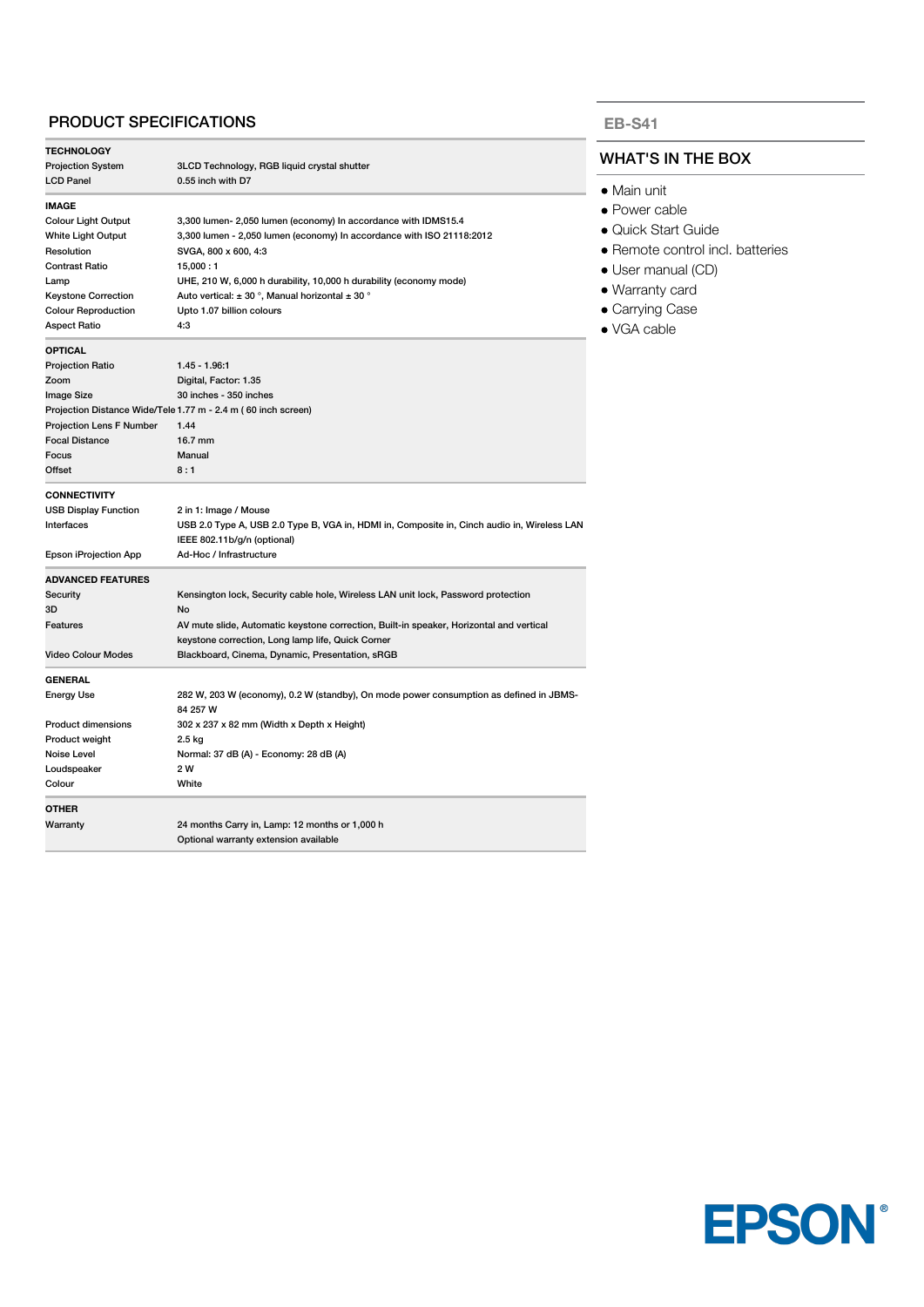## PRODUCT SPECIFICATIONS

| <b>TECHNOLOGY</b>            |                                                                                             |
|------------------------------|---------------------------------------------------------------------------------------------|
| <b>Projection System</b>     | 3LCD Technology, RGB liquid crystal shutter                                                 |
| <b>LCD Panel</b>             | 0.55 inch with D7                                                                           |
| <b>IMAGE</b>                 |                                                                                             |
| <b>Colour Light Output</b>   | 3,300 lumen- 2,050 lumen (economy) In accordance with IDMS15.4                              |
| White Light Output           | 3,300 lumen - 2,050 lumen (economy) In accordance with ISO 21118:2012                       |
| Resolution                   | SVGA, 800 x 600, 4:3                                                                        |
| <b>Contrast Ratio</b>        | 15,000:1                                                                                    |
| Lamp                         | UHE, 210 W, 6,000 h durability, 10,000 h durability (economy mode)                          |
| <b>Keystone Correction</b>   | Auto vertical: $\pm$ 30 °, Manual horizontal $\pm$ 30 °                                     |
| <b>Colour Reproduction</b>   | Upto 1.07 billion colours                                                                   |
| <b>Aspect Ratio</b>          | 4:3                                                                                         |
| <b>OPTICAL</b>               |                                                                                             |
| <b>Projection Ratio</b>      | $1.45 - 1.96.1$                                                                             |
| Zoom                         | Digital, Factor: 1.35                                                                       |
| <b>Image Size</b>            | 30 inches - 350 inches                                                                      |
|                              | Projection Distance Wide/Tele 1.77 m - 2.4 m (60 inch screen)                               |
| Projection Lens F Number     | 1.44                                                                                        |
| <b>Focal Distance</b>        | 16.7 mm                                                                                     |
| Focus                        | Manual                                                                                      |
| Offset                       | 8:1                                                                                         |
| <b>CONNECTIVITY</b>          |                                                                                             |
| <b>USB Display Function</b>  | 2 in 1: Image / Mouse                                                                       |
| Interfaces                   | USB 2.0 Type A, USB 2.0 Type B, VGA in, HDMI in, Composite in, Cinch audio in, Wireless LAN |
|                              | IEEE 802.11b/g/n (optional)                                                                 |
| <b>Epson iProjection App</b> | Ad-Hoc / Infrastructure                                                                     |
| <b>ADVANCED FEATURES</b>     |                                                                                             |
| Security                     | Kensington lock, Security cable hole, Wireless LAN unit lock, Password protection           |
| 3D                           | No                                                                                          |
| <b>Features</b>              | AV mute slide, Automatic keystone correction, Built-in speaker, Horizontal and vertical     |
|                              | keystone correction, Long lamp life, Quick Corner                                           |
| <b>Video Colour Modes</b>    | Blackboard, Cinema, Dynamic, Presentation, sRGB                                             |
| <b>GENERAL</b>               |                                                                                             |
| <b>Energy Use</b>            | 282 W, 203 W (economy), 0.2 W (standby), On mode power consumption as defined in JBMS-      |
|                              | 84 257 W                                                                                    |
| <b>Product dimensions</b>    | 302 x 237 x 82 mm (Width x Depth x Height)                                                  |
| Product weight               | 2.5 kg                                                                                      |
| Noise Level                  | Normal: 37 dB (A) - Economy: 28 dB (A)                                                      |
| Loudspeaker                  | 2 W                                                                                         |
| Colour                       | White                                                                                       |
| <b>OTHER</b>                 |                                                                                             |
| Warranty                     | 24 months Carry in, Lamp: 12 months or 1,000 h                                              |
|                              | Optional warranty extension available                                                       |
|                              |                                                                                             |

#### **EB-S41**

## WHAT'S IN THE BOX

- Main unit
- Power cable
- Quick Start Guide
- Remote control incl. batteries
- User manual (CD)
- Warranty card
- Carrying Case
- VGA cable